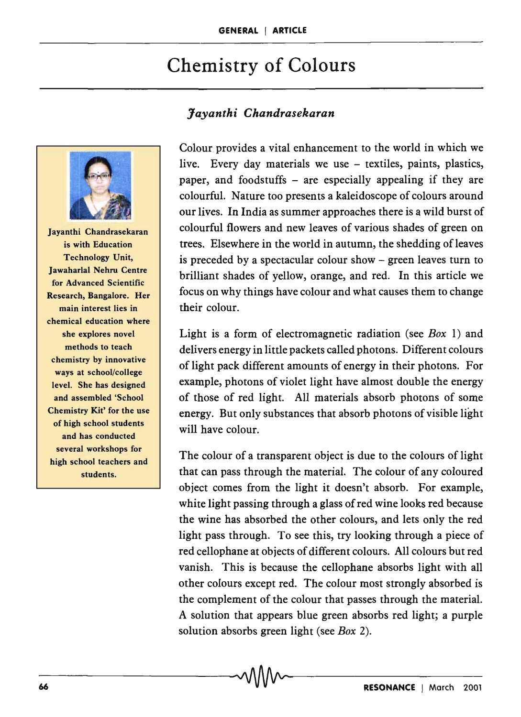# **Chemistry of Colours**

#### *Jayanthi Chandrasekaran*



Jayanthi Chandrasekaran is with Education Technology Unit, Jawaharlal Nehru Centre for Advanced Scientific Research, Bangalore. Her main interest lies in chemical education where she explores novel methods to teach chemistry by innovative ways at school/college level. She has designed and assembled 'School Chemistry Kit' for the use of high school students and has conducted several workshops for high school teachers and students.

Colour provides a vital enhancement to the world in which we live. Every day materials we use - textiles, paints, plastics, paper, and foodstuffs - are especially appealing if they are colourful. Nature too presents a kaleidoscope of colours around our lives. In India as summer approaches there is a wild burst of colourful flowers and new leaves of various shades of green on trees. Elsewhere in the world in autumn, the shedding of leaves is preceded by a spectacular colour show - green leaves turn to brilliant shades of yellow, orange, and red. In this article we focus on why things have colour and what causes them to change their colour.

Light is a form of electromagnetic radiation (see *Box* 1) and delivers energy in little packets called photons. Different colours of light pack different amounts of energy in their photons. For example, photons of violet light have almost double the energy of those of red light. All materials absorb photons of some energy. But only substances that absorb photons of visible light will have colour.

The colour of a transparent object is due to the colours of light that can pass through the material. The colour of any coloured object comes from the light it doesn't absorb. For example, white light passing through a glass of red wine looks red because the wine has absorbed the other colours, and lets only the red light pass through. To see this, try looking through a piece of red cellophane at objects of different colours. All colours but red vanish. This is because the cellophane absorbs light with all other colours except red. The colour most strongly absorbed is the complement of the colour that passes through the material. A solution that appears blue green absorbs red light; a purple solution absorbs green light (see *Box 2).*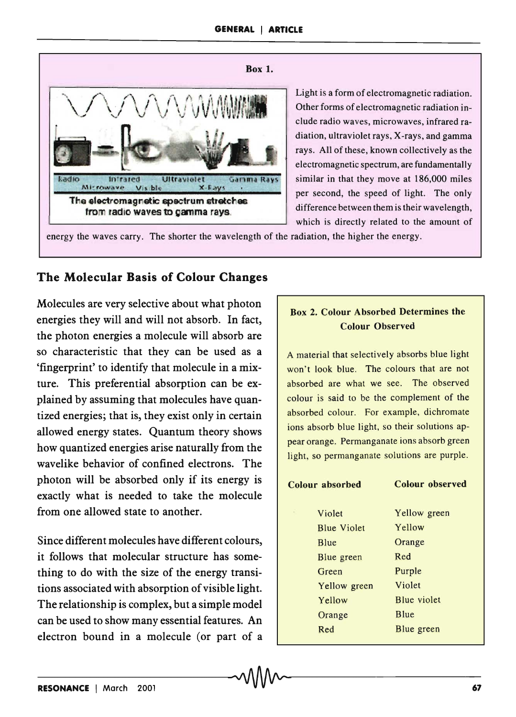

Light is a form of electromagnetic radiation. Other forms of electromagnetic radiation include radio waves, microwaves, infrared radiation, ultraviolet rays, X-rays, and gamma rays. All of these, known collectively as the electromagnetic spectrum, are fundamentally similar in that they move at 186,000 miles per second, the speed of light. The only difference between them is their wavelength, which is directly related to the amount of

energy the waves carry. The shorter the wavelength of the radiation, the higher the energy.

## **The Molecular Basis of Colour Changes**

Molecules are very selective about what photon energies they will and will not absorb. In fact, the photon energies a molecule will absorb are so characteristic that they can be used as a 'fingerprint' to identify that molecule in a mixture. This preferential absorption can be explained by assuming that molecules have quantized energies; that is, they exist only in certain allowed energy states. Quantum theory shows how quantized energies arise naturally from the wavelike behavior of confined electrons. The photon will be absorbed only if its energy is exactly what is needed to take the molecule from one allowed state to another.

Since different molecules have different colours, it follows that molecular structure has something to do with the size of the energy transitions associated with absorption of visible light. The relationship is complex, but a simple model can be used to show many essential features. An electron bound in a molecule (or part of a

#### Box 2. Colour Absorbed Determines the Colour Observed

A material that selectively absorbs blue light won't look blue. The colours that are not absorbed are what we see. The observed colour is said to be the complement of the absorbed colour. For example, dichromate ions absorb blue light, so their solutions appear orange. Permanganate ions absorb green light, so permanganate solutions are purple.

#### Colour absorbed Colour observed

Violet Yellow green Blue Violet Yellow Blue Orange Blue green Red Green Purple Yellow green Violet Yellow Blue violet Orange Blue Red Blue green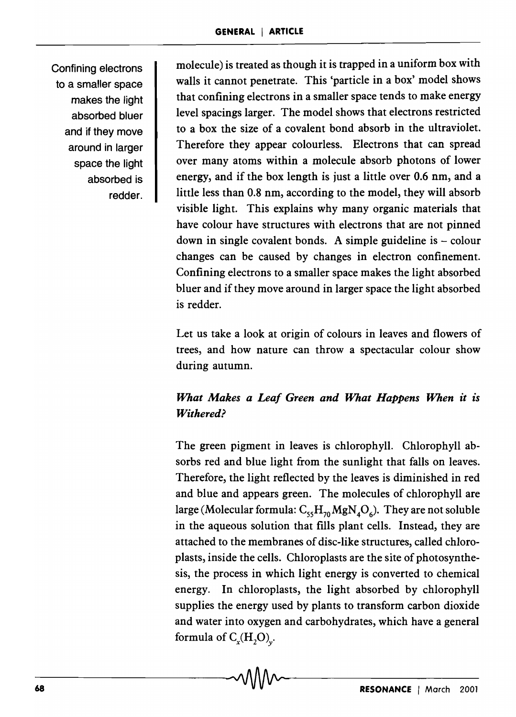Confining electrons to a smaller space makes the light absorbed bluer and if they move around in larger space the light absorbed is redder. molecule) is treated as though it is trapped in a uniform box with walls it cannot penetrate. This 'particle in a box' model shows that confining electrons in a smaller space tends to make energy level spacings larger. The model shows that electrons restricted to a box the size of a covalent bond absorb in the ultraviolet. Therefore they appear colourless. Electrons that can spread over many atoms within a molecule absorb photons of lower energy, and if the box length is just a little over 0.6 nm, and a little less than 0.8 nm, according to the model, they will absorb visible light. This explains why many organic materials that have colour have structures with electrons that are not pinned down in single covalent bonds. A simple guideline is  $-\text{colour}$ changes can be caused by changes in electron confinement. Confining electrons to a smaller space makes the light absorbed bluer and if they move around in larger space the light absorbed is redder.

Let us take a look at origin of colours in leaves and flowers of trees, and how nature can throw a spectacular colour show during autumn.

# *What Makes a Leaf Green and What Happens When it is Withered?*

The green pigment in leaves is chlorophyll. Chlorophyll absorbs red and blue light from the sunlight that falls on leaves. Therefore, the light reflected by the leaves is diminished in red and blue and appears green. The molecules of chlorophyll are large (Molecular formula:  $C_{55}H_{70}MgN_4O_6$ ). They are not soluble in the aqueous solution that fills plant cells. Instead, they are attached to the membranes of disc-like structures, called chloroplasts, inside the cells. Chloroplasts are the site of photosynthesis, the process in which light energy is converted to chemical energy. In chloroplasts, the light absorbed by chlorophyll supplies the energy used by plants to transform carbon dioxide and water into oxygen and carbohydrates, which have a general formula of  $C_x(H_2O)_y$ .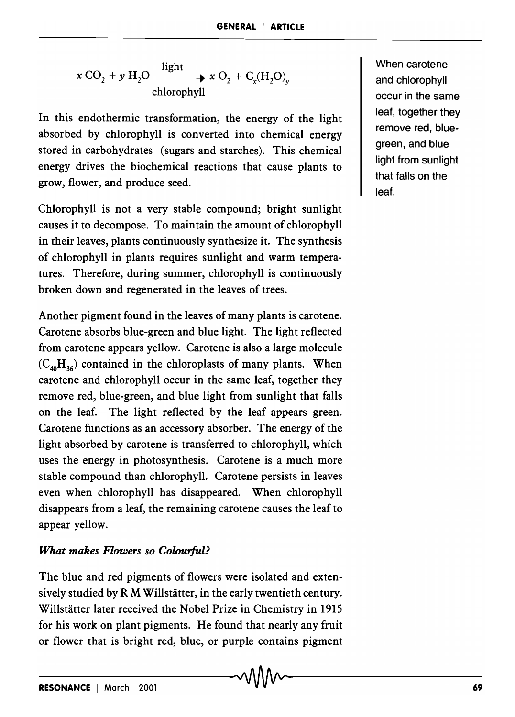$$
x\text{ CO}_2 + y\text{ H}_2\text{O} \xrightarrow{\text{light}} x\text{ O}_2 + C_x(\text{H}_2\text{O})_y
$$
chlorophyll

In this endothermic transformation, the energy of the light absorbed by chlorophyll is converted into chemical energy stored in carbohydrates (sugars and starches). This chemical energy drives the biochemical reactions that cause plants to grow, flower, and produce seed.

Chlorophyll is not a very stable compound; bright sunlight causes it to decompose. To maintain the amount of chlorophyll in their leaves, plants continuously synthesize it. The synthesis of chlorophyll in plants requires sunlight and warm temperatures. Therefore, during summer, chlorophyll is continuously broken down and regenerated in the leaves of trees.

Another pigment found in the leaves of many plants is carotene. Carotene absorbs blue-green and blue light. The light reflected from carotene appears yellow. Carotene is also a large molecule  $(C_{40}H_{36})$  contained in the chloroplasts of many plants. When carotene and chlorophyll occur in the same leaf, together they remove red, blue-green, and blue light from sunlight that falls on the leaf. The light reflected by the leaf appears green. Carotene functions as an accessory absorber. The energy of the light absorbed by carotene is transferred to chlorophyll, which uses the energy in photosynthesis. Carotene is a much more stable compound than chlorophyll. Carotene persists in leaves even when chlorophyll has disappeared. When chlorophyll disappears from a leaf, the remaining carotene causes the leaf to appear yellow.

### *What makes Flowers so Colourful?*

The blue and red pigments of flowers were isolated and extensively studied by R M Willstatter, in the early twentieth century. Willstatter later received the Nobel Prize in Chemistry in 1915 for his work on plant pigments. He found that nearly any fruit or flower that is bright red, blue, or purple contains pigment

When carotene and chlorophyll occur in the same leaf, together they remove red, bluegreen, and blue light from sunlight that falls on the leaf.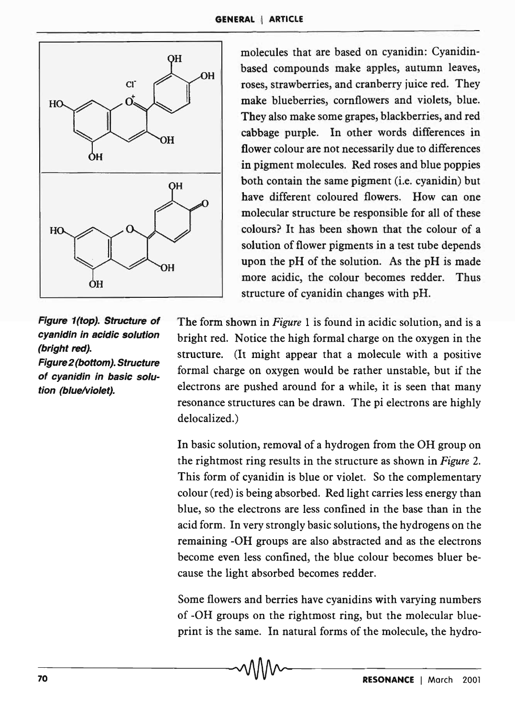

Figure 1(top). Structure of cyanidin in acidic solution (bright red). Figure 2 (bottom). Structure

of cyanidin in basic solution (blue/violet).

molecules that are based on cyanidin: Cyanidinbased compounds make apples, autumn leaves, roses, strawberries, and cranberry juice red. They make blueberries, cornflowers and violets, blue. They also make some grapes, blackberries, and red cabbage purple. In other words differences in flower colour are not necessarily due to differences in pigment molecules. Red roses and blue poppies both contain the same pigment (i.e. cyanidin) but have different coloured flowers. How can one molecular structure be responsible for all of these colours? It has been shown that the colour of a solution of flower pigments in a test tube depends upon the pH of the solution. As the pH is made more acidic, the colour becomes redder. Thus structure of cyanidin changes with pH.

The form shown in *Figure* 1 is found in acidic solution, and is a bright red. Notice the high formal charge on the oxygen in the structure. (It might appear that a molecule with a positive formal charge on oxygen would be rather unstable, but if the electrons are pushed around for a while, it is seen that many resonance structures can be drawn. The pi electrons are highly delocalized. )

In basic solution, removal of a hydrogen from the OH group on the rightmost ring results in the structure as shown in *Figure 2.*  This form of cyanidin is blue or violet. So the complementary colour (red) is being absorbed. Red light carries less energy than blue, so the electrons are less confined in the base than in the acid form. In very strongly basic solutions, the hydrogens on the remaining -OH groups are also abstracted and as the electrons become even less confined, the blue colour becomes bluer because the light absorbed becomes redder.

Some flowers and berries have cyanidins with varying numbers of -OR groups on the rightmost ring, but the molecular blueprint is the same. In natural forms of the molecule, the hydro-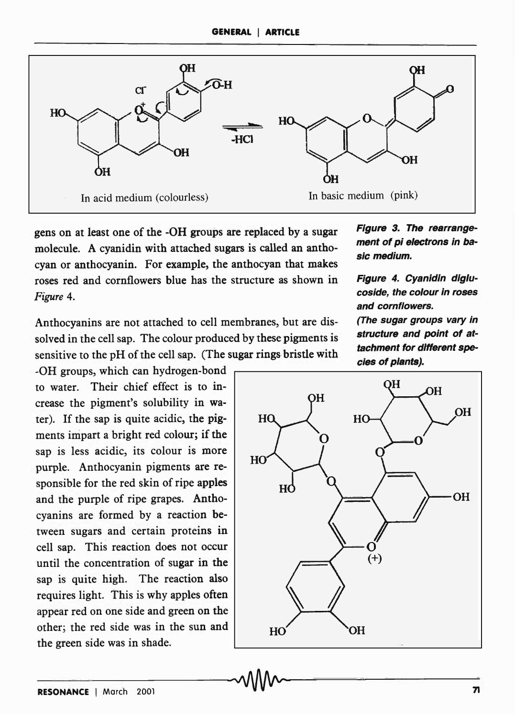

gens on at least one of the -OH groups are replaced by a sugar molecule. A cyanidin with attached sugars is called an anthocyan or anthocyanin. For example, the anthocyan that makes roses red and cornflowers blue has the structure as shown in *Figure 4.* 

Anthocyanins are not attached to cell membranes, but are dissolved in the cell sap. The colour produced by these pigments is sensitive to the pH of the cell sap. (The sugar rings bristle with

-OR groups, which can hydrogen-bond to water. Their chief effect is to increase the pigment's solubility in water). If the sap is quite acidic, the pigments impart a bright red colour; if the sap is less acidic, its colour is more purple. Anthocyanin pigments are responsible for the red skin of ripe apples and the purple of ripe grapes. Anthocyanins are formed by a reaction between sugars and certain proteins in cell sap. This reaction does not occur until the concentration of sugar in the sap is quite high. The reaction also requires light. This is why apples often appear red on one side and green on the other; the red side was in the sun and the green side was in shade.

coside, the colour in roses and cornflowers. (The sugar groups vary in structure and point of attachment for different species of plants).

sic medium.

Figure 3. The rearrangement of pi electrons in ba-

Figure 4. Cyanidin diglu-

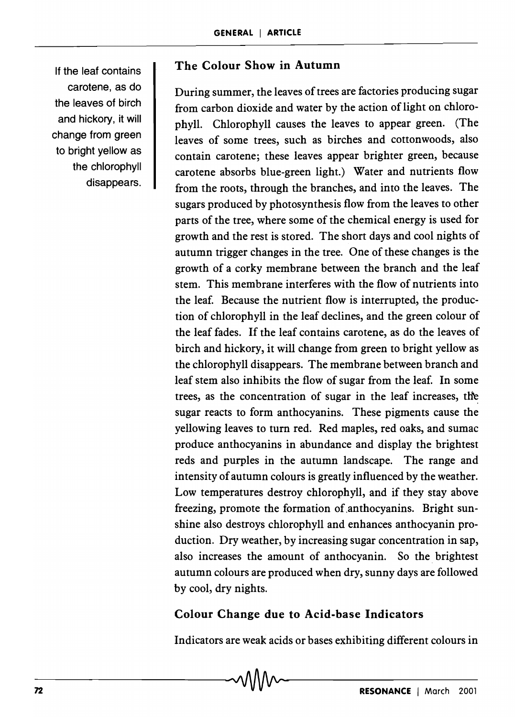If the leaf contains carotene, as do the leaves of birch and hickory, it will change from green to bright yellow as the chlorophyll disappears.

## The Colour Show in Autumn

During summer, the leaves of trees are factories producing sugar from carbon dioxide and water by the action of light on chlorophyll. Chlorophyll causes the leaves to appear green. (The leaves of some trees, such as birches and cottonwoods, also contain carotene; these leaves appear brighter green, because carotene absorbs blue-green light.) Water and nutrients flow from the roots, through the branches, and into the leaves. The sugars produced by photosynthesis flow from the leaves to other parts of the tree, where some of the chemical energy is used for growth and the rest is stored. The short days and cool nights of autumn trigger changes in the tree. One of these changes is the growth of a corky membrane between the branch and the leaf stem. This membrane interferes with the flow of nutrients into the leaf. Because the nutrient flow is interrupted, the production of chlorophyll in the leaf declines, and the green colour of the leaf fades. If the leaf contains carotene, as do the leaves of birch and hickory, it will change from green to bright yellow as the chlorophyll disappears. The membrane between branch and leaf stem also inhibits the flow of sugar from the leaf. In some trees, as the concentration of sugar in the leaf increases, the sugar reacts to form anthocyanins. These pigments cause the yellowing leaves to turn red. Red maples, red oaks, and sumac produce anthocyanins in abundance and display the brightest reds and purples in the autumn landscape. The range and intensity of autumn colours is greatly influenced by the weather. Low temperatures destroy chlorophyll, and if they stay above freezing, promote the formation of.anthocyanins. Bright sunshine also destroys chlorophyll and enhances anthocyanin production. Dry weather, by increasing sugar concentration in sap, also increases the amount of anthocyanin. So the brightest autumn colours are produced when dry, sunny days are followed by cool, dry nights.

## Colour Change due to Acid-base Indicators

Indicators are weak acids or bases exhibiting different colours in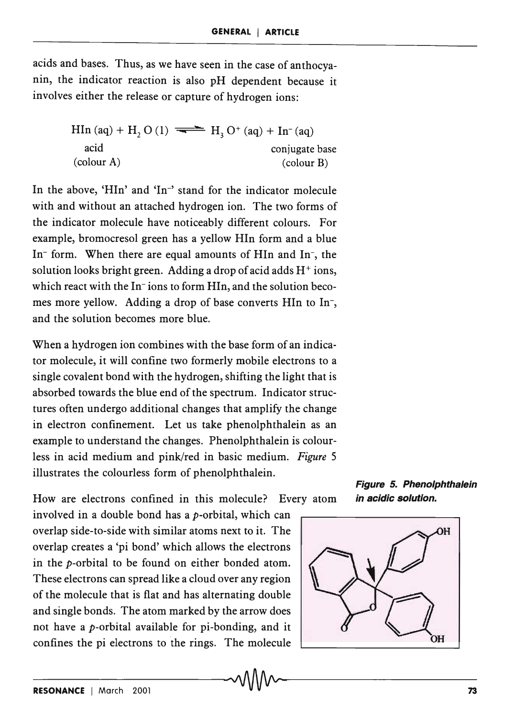acids and bases. Thus, as we have seen in the case of anthocyanin, the indicator reaction is also pH dependent because it involves either the release or capture of hydrogen ions:

> HIn (aq) + H<sub>2</sub> O (1)  $\implies$  H<sub>3</sub> O<sup>+</sup> (aq) + In<sup>-</sup> (aq) acid (colour A) conjugate base (colour B)

In the above, 'HIn' and 'In-' stand for the indicator molecule with and without an attached hydrogen ion. The two forms of the indicator molecule have noticeably different colours. For example, bromocresol green has a yellow HIn form and a blue In<sup>-</sup> form. When there are equal amounts of HIn and In<sup>-</sup>, the solution looks bright green. Adding a drop of acid adds  $H^+$  ions, which react with the In<sup>-</sup>ions to form HIn, and the solution becomes more yellow. Adding a drop of base converts HIn to In-, and the solution becomes more blue.

When a hydrogen ion combines with the base form of an indicator molecule, it will confine two formerly mobile electrons to a single covalent bond with the hydrogen, shifting the light that is absorbed towards the blue end of the spectrum. Indicator structures often undergo additional changes that amplify the change in electron confinement. Let us take phenolphthalein as an example to understand the changes. Phenolphthalein is colourless in acid medium and pink/red in basic medium. *Figure 5*  illustrates the colourless form of phenolphthalein.

How are electrons confined in this molecule? Every atom involved in a double bond has a  $p$ -orbital, which can overlap side-to-side with similar atoms next to it. The overlap creates a 'pi bond' which allows the electrons in the  $p$ -orbital to be found on either bonded atom. These electrons can spread like a cloud over any region of the molecule that is flat and has alternating double and single bonds. The atom marked by the arrow does not have a  $p$ -orbital available for pi-bonding, and it confines the pi electrons to the rings. The molecule



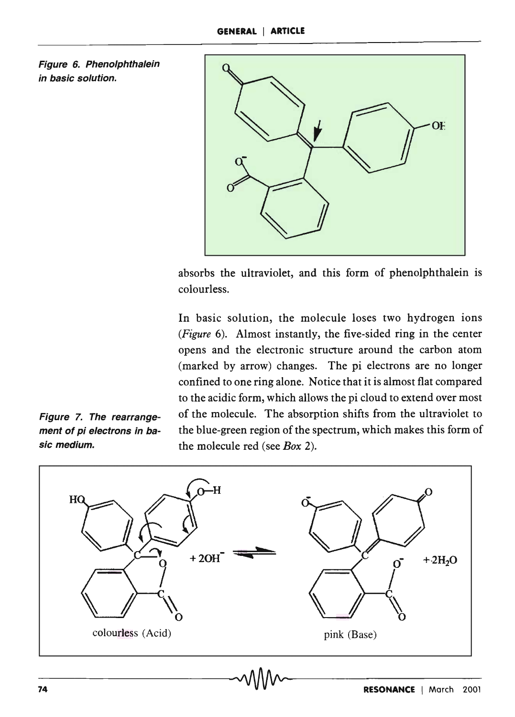Figure 6. Phenolphthalein in basic solution.



absorbs the ultraviolet, and this form of phenolphthalein is colourless.

In basic solution, the molecule loses two hydrogen ions *(Figure* 6). Almost instantly, the five-sided ring in the center opens and the electronic structure around the carbon atom (marked by arrow) changes. The pi electrons are no longer confined to one ring alone. Notice that it is almost flat compared to the acidic form, which allows the pi cloud to extend over most of the molecule. The absorption shifts from the ultraviolet to the blue-green region of the spectrum, which makes this form of the molecule red (see *Box 2).* 



#### Figure 7. The rearrangement of pi electrons in basic medium.